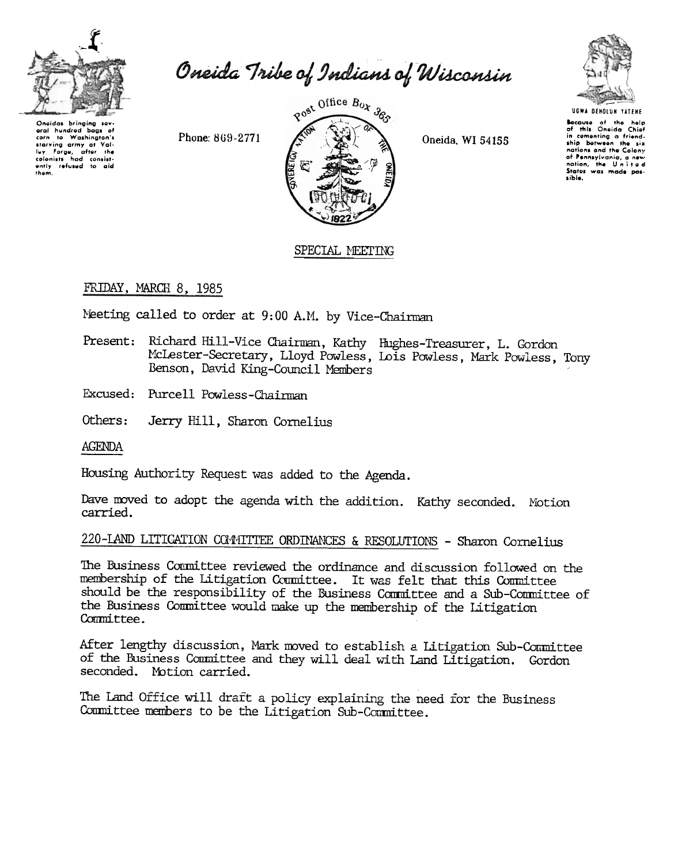

Oneida Tribe of Indians of Wisconsin

Oneidas bringing sev-<br>eral hundred bags of corp to Washington's starving army at Val-Framework army army at value<br>tolonists had consistently<br>ently refused to aid<br>them.

Phone: 869-2771



Oneida, WI 54155



Because of the help of this Oneida Chief<br>in cementing a friend-<br>ship between the six nations and the Colony of Pennsylvania, a new<br>nation, the United sible.

## SPECIAL MEETING

# FRIDAY, MARCH 8, 1985

Neeting called to order at 9:00 A.M. by Vice-Chairman

- Present: Richard Hill-Vice Chairman, Kathy Hughes-Treasurer, L. Gordon McLester-Secretary, Lloyd Powless, Lois Powless, Mark Powless, Tony Benson, David King-Council Members
- Excused: Purcell Powless-Chairman
- Others: Jerry Hill, Sharon Cornelius

**AGENDA** 

Housing Authority Request was added to the Agenda.

Dave moved to adopt the agenda with the addition. Kathy seconded. Motion carried.

### 220-LAND LITICATION COMMITTEE ORDINANCES & RESOLUTIONS - Sharon Cornelius

The Business Committee reviewed the ordinance and discussion followed on the membership of the Litigation Committee. It was felt that this Committee should be the responsibility of the Business Committee and a Sub-Committee of the Business Committee would make up the membership of the Litigation Committee.

After lengthy discussion, Mark moved to establish a Litigation Sub-Committee of the Business Committee and they will deal with Land Litigation. Gordon seconded. Motion carried.

The Land Office will draft a policy explaining the need for the Business Committee members to be the Litigation Sub-Committee.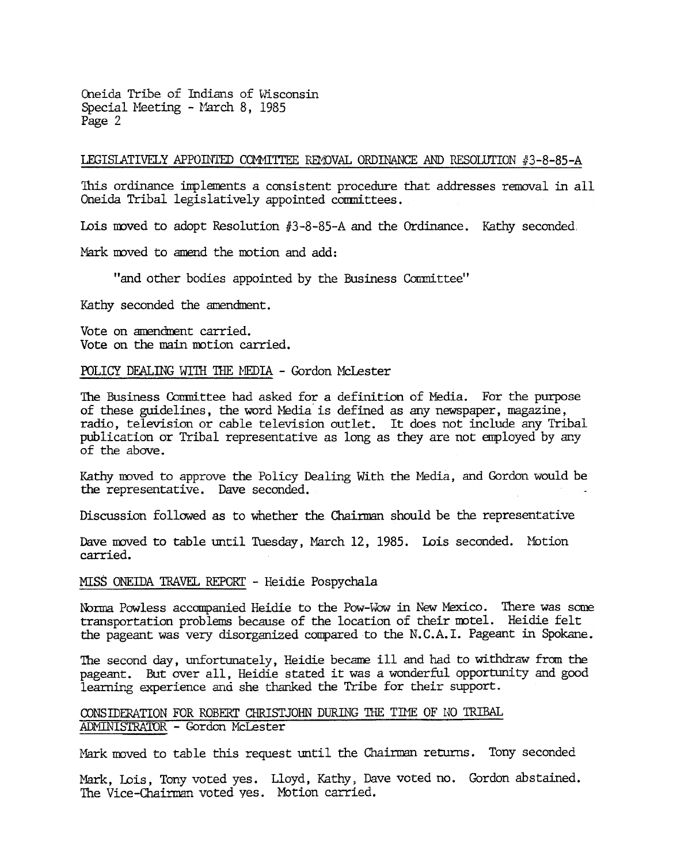() Oneida Tribe of Indians of Wisconsin Special Meeting - March 8, 1985 Page 2

### LEGISLATIVELY APPOINTED COMMITTEE REMOVAL ORDINANCE AND RESOLUTION  $#3-8-85-A$

This ordinance implements a consistent procedure that addresses removal in all Oneida Tribal legislatively appointed comnittees.

Lois moved to adopt Resolution  $#3-8-85-A$  and the Ordinance. Kathy seconded,

Nark moved to amend the motion and add:

"and other bodies appointed by the Business Committee"

Kathy seconded the amendment.

Vote on amendment carried. Vote on the main motion carried.

#### POLICY DEALING WITH THE MEDIA - Gordon McLester

The Business Comnittee had asked for a definition of Media. For the purpose of these guidelines, the word Media is defined as any newspaper, magazine, radio, television or cable television outlet. It does not include any Tribal publication or Tribal representative as long as they are not employed by ar.y of the above.

Kathy moved to approve the Policy Dealing With the Media, and Gordon would be the representative. Dave seconded.

Discussion followed as to whether the Chairman should be the representative

Dave moved to table until Tuesday, March 12, 1985. Lois seconded. Motion carried.

#### MISS ONEIDA TRAVEL REPORT - Heidie Pospychala

Norma Powless accompanied Heidie to the Pow-Wow in New Mexico. There was some transportation problems because of the location of their motel. Heidie felt the pageant was very disorganized compared to the N. C. A. I. Pageant in Spokane.

The second day, unfortunately, Heidie became ill and had to withdraw from the pageant. But over all, Heidie stated it was a wonderful opportunity and good learning experience and she thanked the Tribe for their support.

### CONSIDERATION FOR ROBERT CHRISTJOHN DURING THE TIME OF NO TRIBAL ADMINISTRATOR - Gordon McLester

Mark moved to table this request until the Chairman returns. Tony seconded

Mark, Lois, Tony voted yes. Lloyd, Kathy, Dave voted no. Gordon abstaine The Vice-Chairman voted yes. Motion carried